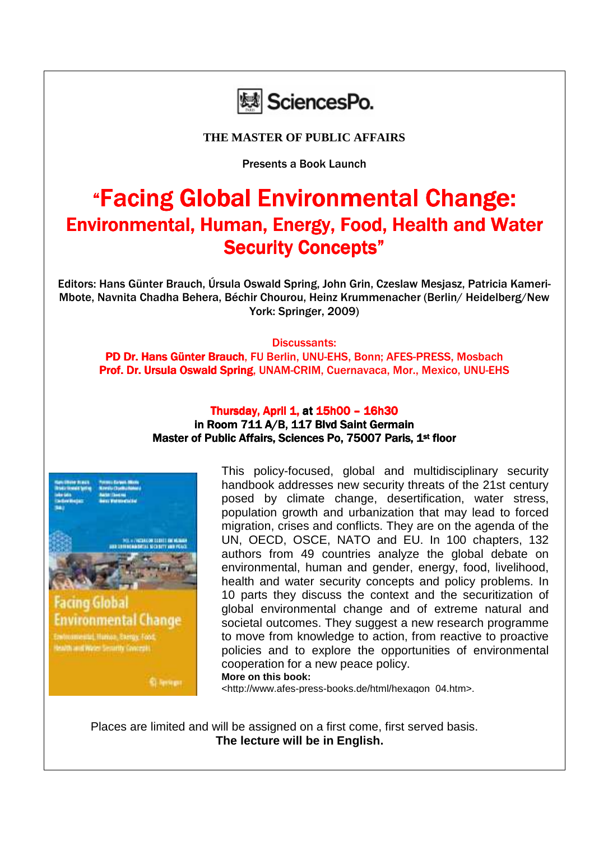

**THE MASTER OF PUBLIC AFFAIRS** 

Presents a Book Launch

## "Facing Global Environmental Change: Environmental, Human, Energy, Food, Health and Water Security Concepts"

Editors: Hans Günter Brauch, Úrsula Oswald Spring, John Grin, Czeslaw Mesjasz, Patricia Kameri-Mbote, Navnita Chadha Behera, Béchir Chourou, Heinz Krummenacher (Berlin/ Heidelberg/New York: Springer, 2009)

Discussants:

PD Dr. Hans Günter Brauch, FU Berlin, UNU-EHS, Bonn: AFES-PRESS, Mosbach Prof. Dr. Ursula Oswald Spring, UNAM-CRIM, Cuernavaca, Mor., Mexico, UNU-EHS

## Thursday, April 1, at 15h00 - 16h30 in Room 711 A/B, 117 Blvd Saint Germain Master of Public Affairs, Sciences Po, 75007 Paris, 1st floor



tealth and Water Senathy Concepts

**St-Services** 

This policy-focused, global and multidisciplinary security handbook addresses new security threats of the 21st century posed by climate change, desertification, water stress, population growth and urbanization that may lead to forced migration, crises and conflicts. They are on the agenda of the UN, OECD, OSCE, NATO and EU. In 100 chapters, 132 authors from 49 countries analyze the global debate on environmental, human and gender, energy, food, livelihood, health and water security concepts and policy problems. In 10 parts they discuss the context and the securitization of global environmental change and of extreme natural and societal outcomes. They suggest a new research programme to move from knowledge to action, from reactive to proactive policies and to explore the opportunities of environmental cooperation for a new peace policy. **More on this book:** 

<http://www.afes-press-books.de/html/hexagon\_04.htm>.

Places are limited and will be assigned on a first come, first served basis. **The lecture will be in English.**